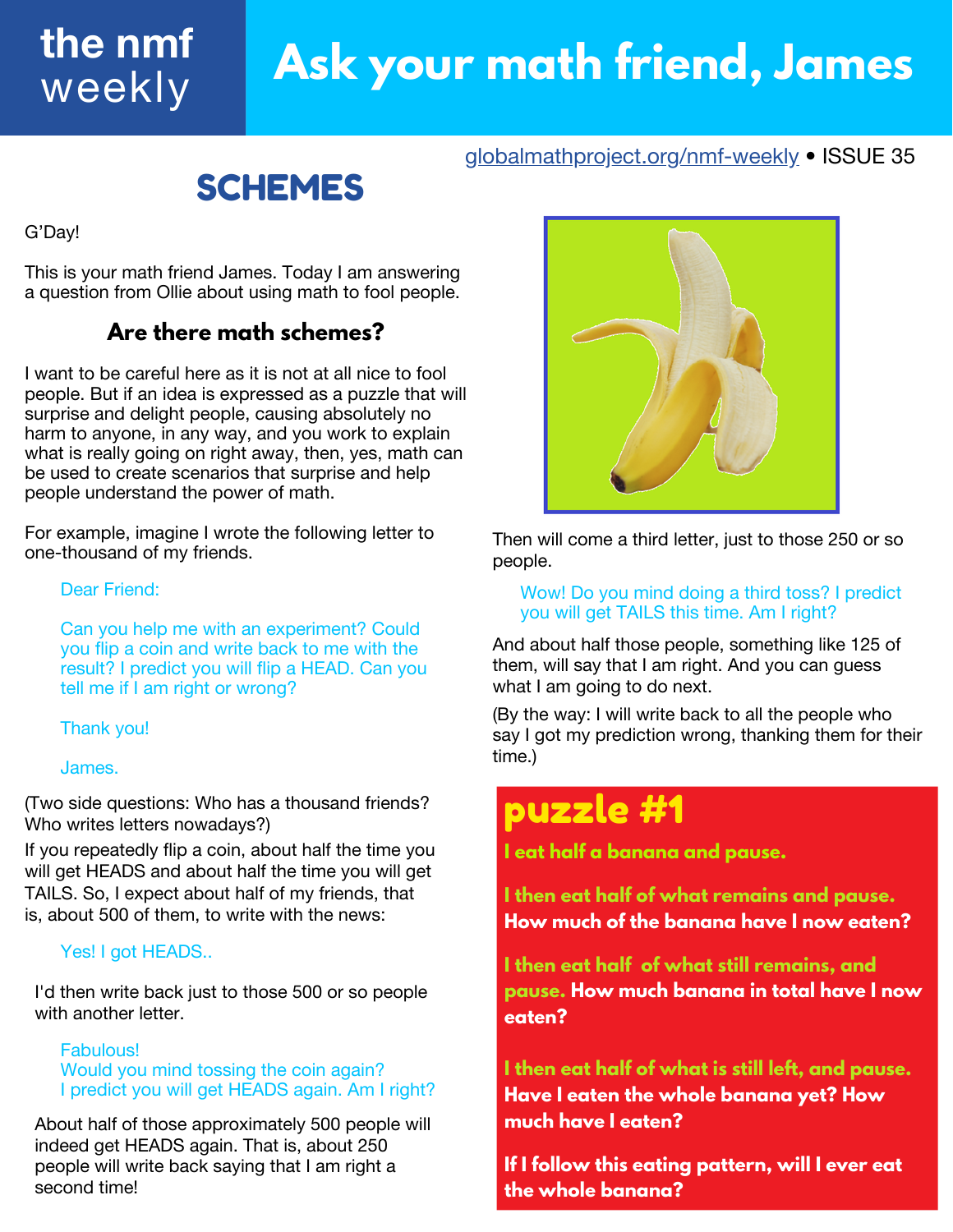### **Ask your math friend, James the nmf** weekly

[globalmathproject.org/nmf-weekly](https://www.globalmathproject.org/nmf-weekly) • ISSUE 35

## SCHEMES

G'Day!

This is your math friend James. Today I am answering a question from Ollie about using math to fool people.

### **Are there math schemes?**

I want to be careful here as it is not at all nice to fool people. But if an idea is expressed as a puzzle that will surprise and delight people, causing absolutely no harm to anyone, in any way, and you work to explain what is really going on right away, then, yes, math can be used to create scenarios that surprise and help people understand the power of math.

For example, imagine I wrote the following letter to one-thousand of my friends.

#### Dear Friend:

Can you help me with an experiment? Could you flip a coin and write back to me with the result? I predict you will flip a HEAD. Can you tell me if I am right or wrong?

#### Thank you!

#### James.

(Two side questions: Who has a thousand friends? Who writes letters nowadays?)

If you repeatedly flip a coin, about half the time you will get HEADS and about half the time you will get TAILS. So, I expect about half of my friends, that is, about 500 of them, to write with the news:

#### Yes! I got HEADS..

I'd then write back just to those 500 or so people with another letter.

#### Fabulous!

Would you mind tossing the coin again? I predict you will get HEADS again. Am I right?

About half of those approximately 500 people will indeed get HEADS again. That is, about 250 people will write back saying that I am right a second time!



Then will come a third letter, just to those 250 or so people.

Wow! Do you mind doing a third toss? I predict you will get TAILS this time. Am I right?

And about half those people, something like 125 of them, will say that I am right. And you can guess what I am going to do next.

(By the way: I will write back to all the people who say I got my prediction wrong, thanking them for their time.)

## puzzle #1

**I eat half a banana and pause.**

**I then eat half of what remains and pause. How much of the banana have I now eaten?**

**I then eat half of what still remains, and pause. How much banana in total have I now eaten?**

**I then eat half of what is still left, and pause. Have I eaten the whole banana yet? How much have I eaten?**

**If I follow this eating pattern, will I ever eat the whole banana?**